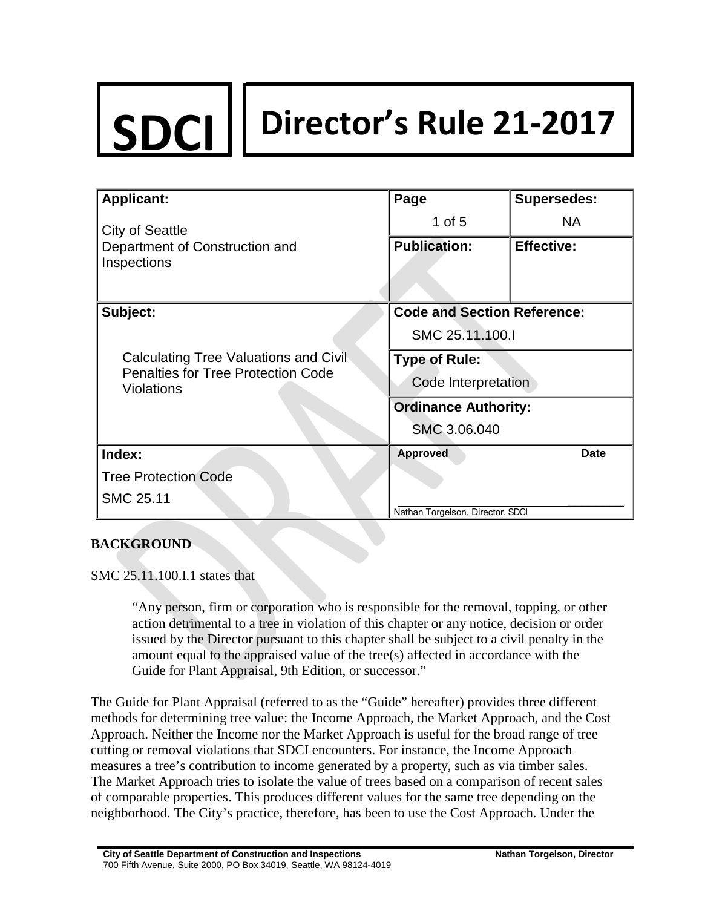# **SDCI Director's Rule 21-2017**

| <b>Applicant:</b>                                                                                       | Page                               | <b>Supersedes:</b> |
|---------------------------------------------------------------------------------------------------------|------------------------------------|--------------------|
| <b>City of Seattle</b>                                                                                  | 1 of $5$                           | <b>NA</b>          |
| Department of Construction and                                                                          | <b>Publication:</b>                | <b>Effective:</b>  |
| Inspections                                                                                             |                                    |                    |
|                                                                                                         |                                    |                    |
| Subject:                                                                                                | <b>Code and Section Reference:</b> |                    |
|                                                                                                         | SMC 25.11.100.I                    |                    |
| Calculating Tree Valuations and Civil<br><b>Penalties for Tree Protection Code</b><br><b>Violations</b> | <b>Type of Rule:</b>               |                    |
|                                                                                                         | Code Interpretation                |                    |
|                                                                                                         | <b>Ordinance Authority:</b>        |                    |
|                                                                                                         | SMC 3.06.040                       |                    |
| Index:                                                                                                  | <b>Approved</b>                    | <b>Date</b>        |
| <b>Tree Protection Code</b>                                                                             |                                    |                    |
| SMC 25.11                                                                                               |                                    |                    |
|                                                                                                         | Nathan Torgelson, Director, SDCI   |                    |

## **BACKGROUND**

SMC 25.11.100.I.1 states that

"Any person, firm or corporation who is responsible for the removal, topping, or other action detrimental to a tree in violation of this chapter or any notice, decision or order issued by the Director pursuant to this chapter shall be subject to a civil penalty in the amount equal to the appraised value of the tree(s) affected in accordance with the Guide for Plant Appraisal, 9th Edition, or successor."

The Guide for Plant Appraisal (referred to as the "Guide" hereafter) provides three different methods for determining tree value: the Income Approach, the Market Approach, and the Cost Approach. Neither the Income nor the Market Approach is useful for the broad range of tree cutting or removal violations that SDCI encounters. For instance, the Income Approach measures a tree's contribution to income generated by a property, such as via timber sales. The Market Approach tries to isolate the value of trees based on a comparison of recent sales of comparable properties. This produces different values for the same tree depending on the neighborhood. The City's practice, therefore, has been to use the Cost Approach. Under the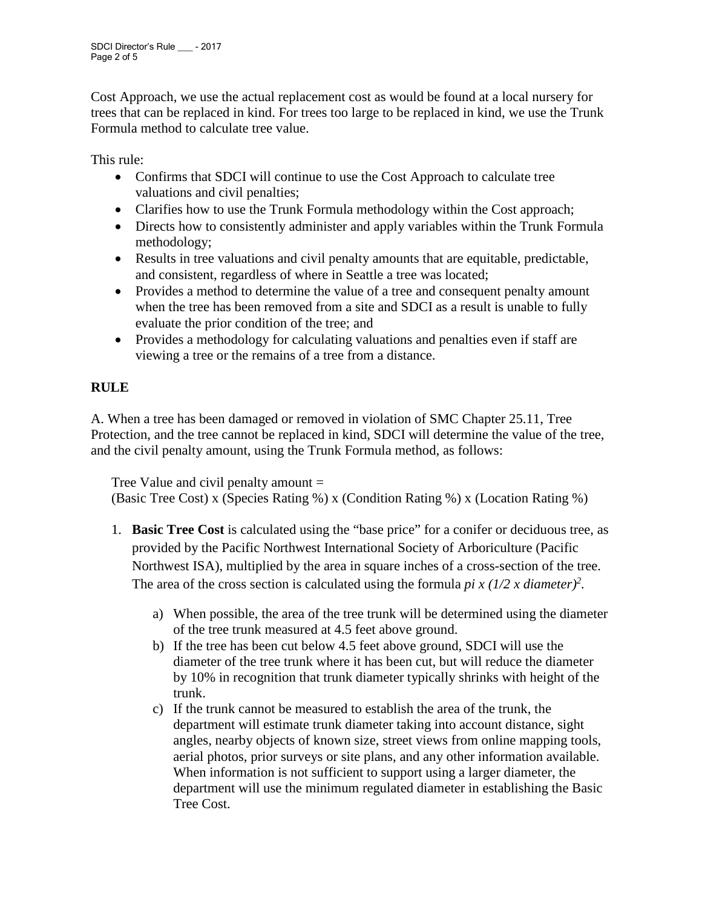Cost Approach, we use the actual replacement cost as would be found at a local nursery for trees that can be replaced in kind. For trees too large to be replaced in kind, we use the Trunk Formula method to calculate tree value.

This rule:

- Confirms that SDCI will continue to use the Cost Approach to calculate tree valuations and civil penalties;
- Clarifies how to use the Trunk Formula methodology within the Cost approach;
- Directs how to consistently administer and apply variables within the Trunk Formula methodology;
- Results in tree valuations and civil penalty amounts that are equitable, predictable, and consistent, regardless of where in Seattle a tree was located;
- Provides a method to determine the value of a tree and consequent penalty amount when the tree has been removed from a site and SDCI as a result is unable to fully evaluate the prior condition of the tree; and
- Provides a methodology for calculating valuations and penalties even if staff are viewing a tree or the remains of a tree from a distance.

# **RULE**

A. When a tree has been damaged or removed in violation of SMC Chapter 25.11, Tree Protection, and the tree cannot be replaced in kind, SDCI will determine the value of the tree, and the civil penalty amount, using the Trunk Formula method, as follows:

Tree Value and civil penalty amount = (Basic Tree Cost) x (Species Rating %) x (Condition Rating %) x (Location Rating %)

- 1. **Basic Tree Cost** is calculated using the "base price" for a conifer or deciduous tree, as provided by the Pacific Northwest International Society of Arboriculture (Pacific Northwest ISA), multiplied by the area in square inches of a cross-section of the tree. The area of the cross section is calculated using the formula *pi x (1/2 x diameter)<sup>2</sup>*.
	- a) When possible, the area of the tree trunk will be determined using the diameter of the tree trunk measured at 4.5 feet above ground.
	- b) If the tree has been cut below 4.5 feet above ground, SDCI will use the diameter of the tree trunk where it has been cut, but will reduce the diameter by 10% in recognition that trunk diameter typically shrinks with height of the trunk.
	- c) If the trunk cannot be measured to establish the area of the trunk, the department will estimate trunk diameter taking into account distance, sight angles, nearby objects of known size, street views from online mapping tools, aerial photos, prior surveys or site plans, and any other information available. When information is not sufficient to support using a larger diameter, the department will use the minimum regulated diameter in establishing the Basic Tree Cost.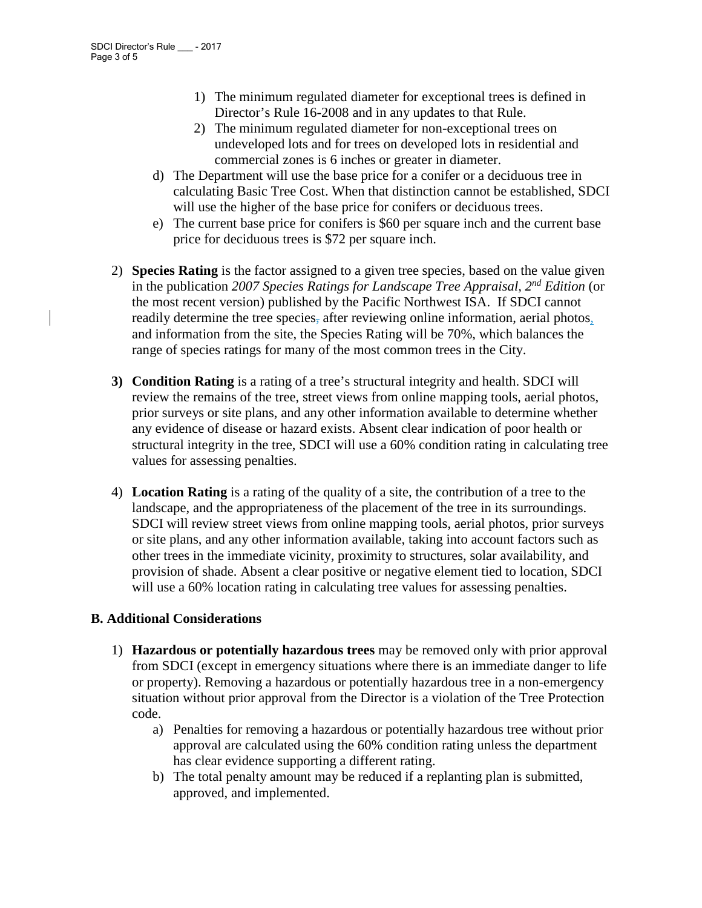- 1) The minimum regulated diameter for exceptional trees is defined in Director's Rule 16-2008 and in any updates to that Rule.
- 2) The minimum regulated diameter for non-exceptional trees on undeveloped lots and for trees on developed lots in residential and commercial zones is 6 inches or greater in diameter.
- d) The Department will use the base price for a conifer or a deciduous tree in calculating Basic Tree Cost. When that distinction cannot be established, SDCI will use the higher of the base price for conifers or deciduous trees.
- e) The current base price for conifers is \$60 per square inch and the current base price for deciduous trees is \$72 per square inch.
- 2) **Species Rating** is the factor assigned to a given tree species, based on the value given in the publication *2007 Species Ratings for Landscape Tree Appraisal, 2nd Edition* (or the most recent version) published by the Pacific Northwest ISA. If SDCI cannot readily determine the tree species, after reviewing online information, aerial photos, and information from the site, the Species Rating will be 70%, which balances the range of species ratings for many of the most common trees in the City.
- **3) Condition Rating** is a rating of a tree's structural integrity and health. SDCI will review the remains of the tree, street views from online mapping tools, aerial photos, prior surveys or site plans, and any other information available to determine whether any evidence of disease or hazard exists. Absent clear indication of poor health or structural integrity in the tree, SDCI will use a 60% condition rating in calculating tree values for assessing penalties.
- 4) **Location Rating** is a rating of the quality of a site, the contribution of a tree to the landscape, and the appropriateness of the placement of the tree in its surroundings. SDCI will review street views from online mapping tools, aerial photos, prior surveys or site plans, and any other information available, taking into account factors such as other trees in the immediate vicinity, proximity to structures, solar availability, and provision of shade. Absent a clear positive or negative element tied to location, SDCI will use a 60% location rating in calculating tree values for assessing penalties.

#### **B. Additional Considerations**

- 1) **Hazardous or potentially hazardous trees** may be removed only with prior approval from SDCI (except in emergency situations where there is an immediate danger to life or property). Removing a hazardous or potentially hazardous tree in a non-emergency situation without prior approval from the Director is a violation of the Tree Protection code.
	- a) Penalties for removing a hazardous or potentially hazardous tree without prior approval are calculated using the 60% condition rating unless the department has clear evidence supporting a different rating.
	- b) The total penalty amount may be reduced if a replanting plan is submitted, approved, and implemented.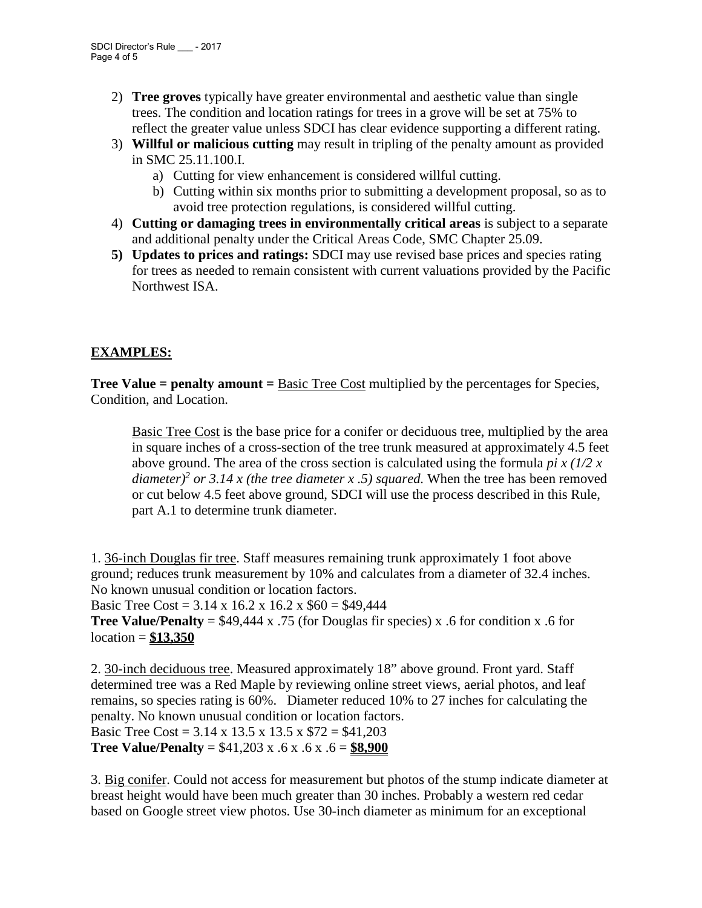- 2) **Tree groves** typically have greater environmental and aesthetic value than single trees. The condition and location ratings for trees in a grove will be set at 75% to reflect the greater value unless SDCI has clear evidence supporting a different rating.
- 3) **Willful or malicious cutting** may result in tripling of the penalty amount as provided in SMC 25.11.100.I.
	- a) Cutting for view enhancement is considered willful cutting.
	- b) Cutting within six months prior to submitting a development proposal, so as to avoid tree protection regulations, is considered willful cutting.
- 4) **Cutting or damaging trees in environmentally critical areas** is subject to a separate and additional penalty under the Critical Areas Code, SMC Chapter 25.09.
- **5) Updates to prices and ratings:** SDCI may use revised base prices and species rating for trees as needed to remain consistent with current valuations provided by the Pacific Northwest ISA.

## **EXAMPLES:**

**Tree Value = penalty amount = Basic Tree Cost multiplied by the percentages for Species,** Condition, and Location.

Basic Tree Cost is the base price for a conifer or deciduous tree, multiplied by the area in square inches of a cross-section of the tree trunk measured at approximately 4.5 feet above ground. The area of the cross section is calculated using the formula *pi x (1/2 x diameter)2 or 3.14 x (the tree diameter x .5) squared.* When the tree has been removed or cut below 4.5 feet above ground, SDCI will use the process described in this Rule, part A.1 to determine trunk diameter.

1. 36-inch Douglas fir tree. Staff measures remaining trunk approximately 1 foot above ground; reduces trunk measurement by 10% and calculates from a diameter of 32.4 inches. No known unusual condition or location factors.

Basic Tree Cost =  $3.14 \times 16.2 \times 16.2 \times $60 = $49.444$ 

**Tree Value/Penalty** =  $$49,444 \times .75$  (for Douglas fir species) x .6 for condition x .6 for location = **\$13,350**

2. 30-inch deciduous tree. Measured approximately 18" above ground. Front yard. Staff determined tree was a Red Maple by reviewing online street views, aerial photos, and leaf remains, so species rating is 60%. Diameter reduced 10% to 27 inches for calculating the penalty. No known unusual condition or location factors. Basic Tree Cost = 3.14 x 13.5 x 13.5 x \$72 = \$41,203 **Tree Value/Penalty** = \$41,203 x .6 x .6 x .6 = **\$8,900**

3. Big conifer. Could not access for measurement but photos of the stump indicate diameter at breast height would have been much greater than 30 inches. Probably a western red cedar based on Google street view photos. Use 30-inch diameter as minimum for an exceptional